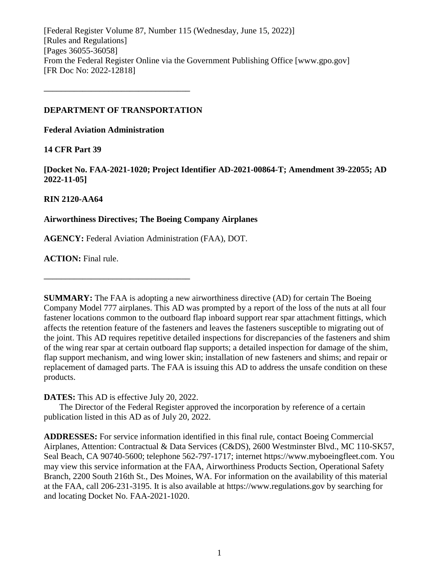[Federal Register Volume 87, Number 115 (Wednesday, June 15, 2022)] [Rules and Regulations] [Pages 36055-36058] From the Federal Register Online via the Government Publishing Office [www.gpo.gov] [FR Doc No: 2022-12818]

## **DEPARTMENT OF TRANSPORTATION**

**––––––––––––––––––––––––––––––––––**

**Federal Aviation Administration**

# **14 CFR Part 39**

**[Docket No. FAA-2021-1020; Project Identifier AD-2021-00864-T; Amendment 39-22055; AD 2022-11-05]**

# **RIN 2120-AA64**

# **Airworthiness Directives; The Boeing Company Airplanes**

**AGENCY:** Federal Aviation Administration (FAA), DOT.

**ACTION:** Final rule.

**SUMMARY:** The FAA is adopting a new airworthiness directive (AD) for certain The Boeing Company Model 777 airplanes. This AD was prompted by a report of the loss of the nuts at all four fastener locations common to the outboard flap inboard support rear spar attachment fittings, which affects the retention feature of the fasteners and leaves the fasteners susceptible to migrating out of the joint. This AD requires repetitive detailed inspections for discrepancies of the fasteners and shim of the wing rear spar at certain outboard flap supports; a detailed inspection for damage of the shim, flap support mechanism, and wing lower skin; installation of new fasteners and shims; and repair or replacement of damaged parts. The FAA is issuing this AD to address the unsafe condition on these products.

**DATES:** This AD is effective July 20, 2022.

**––––––––––––––––––––––––––––––––––**

The Director of the Federal Register approved the incorporation by reference of a certain publication listed in this AD as of July 20, 2022.

**ADDRESSES:** For service information identified in this final rule, contact Boeing Commercial Airplanes, Attention: Contractual & Data Services (C&DS), 2600 Westminster Blvd., MC 110-SK57, Seal Beach, CA 90740-5600; telephone 562-797-1717; internet https://www.myboeingfleet.com. You may view this service information at the FAA, Airworthiness Products Section, Operational Safety Branch, 2200 South 216th St., Des Moines, WA. For information on the availability of this material at the FAA, call 206-231-3195. It is also available at https://www.regulations.gov by searching for and locating Docket No. FAA-2021-1020.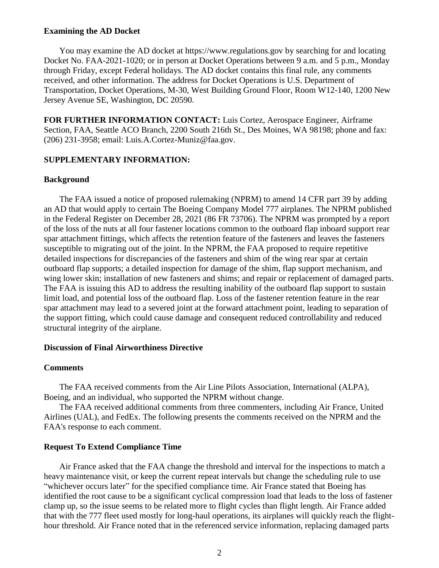#### **Examining the AD Docket**

You may examine the AD docket at https://www.regulations.gov by searching for and locating Docket No. FAA-2021-1020; or in person at Docket Operations between 9 a.m. and 5 p.m., Monday through Friday, except Federal holidays. The AD docket contains this final rule, any comments received, and other information. The address for Docket Operations is U.S. Department of Transportation, Docket Operations, M-30, West Building Ground Floor, Room W12-140, 1200 New Jersey Avenue SE, Washington, DC 20590.

**FOR FURTHER INFORMATION CONTACT:** Luis Cortez, Aerospace Engineer, Airframe Section, FAA, Seattle ACO Branch, 2200 South 216th St., Des Moines, WA 98198; phone and fax: (206) 231-3958; email: Luis.A.Cortez-Muniz@faa.gov.

#### **SUPPLEMENTARY INFORMATION:**

#### **Background**

The FAA issued a notice of proposed rulemaking (NPRM) to amend 14 CFR part 39 by adding an AD that would apply to certain The Boeing Company Model 777 airplanes. The NPRM published in the Federal Register on December 28, 2021 (86 FR 73706). The NPRM was prompted by a report of the loss of the nuts at all four fastener locations common to the outboard flap inboard support rear spar attachment fittings, which affects the retention feature of the fasteners and leaves the fasteners susceptible to migrating out of the joint. In the NPRM, the FAA proposed to require repetitive detailed inspections for discrepancies of the fasteners and shim of the wing rear spar at certain outboard flap supports; a detailed inspection for damage of the shim, flap support mechanism, and wing lower skin; installation of new fasteners and shims; and repair or replacement of damaged parts. The FAA is issuing this AD to address the resulting inability of the outboard flap support to sustain limit load, and potential loss of the outboard flap. Loss of the fastener retention feature in the rear spar attachment may lead to a severed joint at the forward attachment point, leading to separation of the support fitting, which could cause damage and consequent reduced controllability and reduced structural integrity of the airplane.

### **Discussion of Final Airworthiness Directive**

#### **Comments**

The FAA received comments from the Air Line Pilots Association, International (ALPA), Boeing, and an individual, who supported the NPRM without change.

The FAA received additional comments from three commenters, including Air France, United Airlines (UAL), and FedEx. The following presents the comments received on the NPRM and the FAA's response to each comment.

#### **Request To Extend Compliance Time**

Air France asked that the FAA change the threshold and interval for the inspections to match a heavy maintenance visit, or keep the current repeat intervals but change the scheduling rule to use "whichever occurs later" for the specified compliance time. Air France stated that Boeing has identified the root cause to be a significant cyclical compression load that leads to the loss of fastener clamp up, so the issue seems to be related more to flight cycles than flight length. Air France added that with the 777 fleet used mostly for long-haul operations, its airplanes will quickly reach the flighthour threshold. Air France noted that in the referenced service information, replacing damaged parts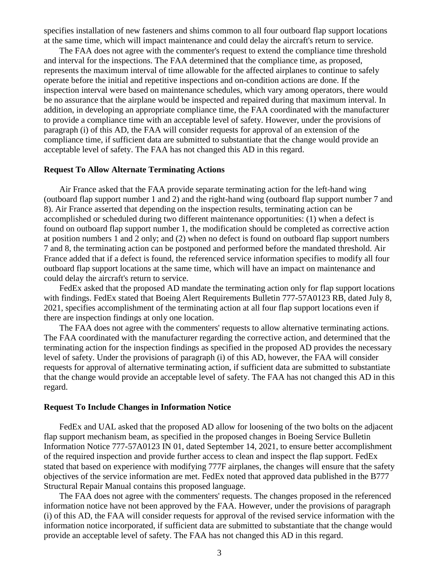specifies installation of new fasteners and shims common to all four outboard flap support locations at the same time, which will impact maintenance and could delay the aircraft's return to service.

The FAA does not agree with the commenter's request to extend the compliance time threshold and interval for the inspections. The FAA determined that the compliance time, as proposed, represents the maximum interval of time allowable for the affected airplanes to continue to safely operate before the initial and repetitive inspections and on-condition actions are done. If the inspection interval were based on maintenance schedules, which vary among operators, there would be no assurance that the airplane would be inspected and repaired during that maximum interval. In addition, in developing an appropriate compliance time, the FAA coordinated with the manufacturer to provide a compliance time with an acceptable level of safety. However, under the provisions of paragraph (i) of this AD, the FAA will consider requests for approval of an extension of the compliance time, if sufficient data are submitted to substantiate that the change would provide an acceptable level of safety. The FAA has not changed this AD in this regard.

#### **Request To Allow Alternate Terminating Actions**

Air France asked that the FAA provide separate terminating action for the left-hand wing (outboard flap support number 1 and 2) and the right-hand wing (outboard flap support number 7 and 8). Air France asserted that depending on the inspection results, terminating action can be accomplished or scheduled during two different maintenance opportunities: (1) when a defect is found on outboard flap support number 1, the modification should be completed as corrective action at position numbers 1 and 2 only; and (2) when no defect is found on outboard flap support numbers 7 and 8, the terminating action can be postponed and performed before the mandated threshold. Air France added that if a defect is found, the referenced service information specifies to modify all four outboard flap support locations at the same time, which will have an impact on maintenance and could delay the aircraft's return to service.

FedEx asked that the proposed AD mandate the terminating action only for flap support locations with findings. FedEx stated that Boeing Alert Requirements Bulletin 777-57A0123 RB, dated July 8, 2021, specifies accomplishment of the terminating action at all four flap support locations even if there are inspection findings at only one location.

The FAA does not agree with the commenters' requests to allow alternative terminating actions. The FAA coordinated with the manufacturer regarding the corrective action, and determined that the terminating action for the inspection findings as specified in the proposed AD provides the necessary level of safety. Under the provisions of paragraph (i) of this AD, however, the FAA will consider requests for approval of alternative terminating action, if sufficient data are submitted to substantiate that the change would provide an acceptable level of safety. The FAA has not changed this AD in this regard.

#### **Request To Include Changes in Information Notice**

FedEx and UAL asked that the proposed AD allow for loosening of the two bolts on the adjacent flap support mechanism beam, as specified in the proposed changes in Boeing Service Bulletin Information Notice 777-57A0123 IN 01, dated September 14, 2021, to ensure better accomplishment of the required inspection and provide further access to clean and inspect the flap support. FedEx stated that based on experience with modifying 777F airplanes, the changes will ensure that the safety objectives of the service information are met. FedEx noted that approved data published in the B777 Structural Repair Manual contains this proposed language.

The FAA does not agree with the commenters' requests. The changes proposed in the referenced information notice have not been approved by the FAA. However, under the provisions of paragraph (i) of this AD, the FAA will consider requests for approval of the revised service information with the information notice incorporated, if sufficient data are submitted to substantiate that the change would provide an acceptable level of safety. The FAA has not changed this AD in this regard.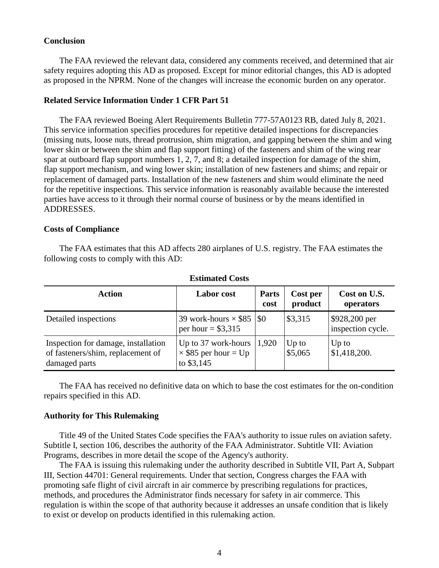#### **Conclusion**

The FAA reviewed the relevant data, considered any comments received, and determined that air safety requires adopting this AD as proposed. Except for minor editorial changes, this AD is adopted as proposed in the NPRM. None of the changes will increase the economic burden on any operator.

#### **Related Service Information Under 1 CFR Part 51**

The FAA reviewed Boeing Alert Requirements Bulletin 777-57A0123 RB, dated July 8, 2021. This service information specifies procedures for repetitive detailed inspections for discrepancies (missing nuts, loose nuts, thread protrusion, shim migration, and gapping between the shim and wing lower skin or between the shim and flap support fitting) of the fasteners and shim of the wing rear spar at outboard flap support numbers 1, 2, 7, and 8; a detailed inspection for damage of the shim, flap support mechanism, and wing lower skin; installation of new fasteners and shims; and repair or replacement of damaged parts. Installation of the new fasteners and shim would eliminate the need for the repetitive inspections. This service information is reasonably available because the interested parties have access to it through their normal course of business or by the means identified in ADDRESSES.

#### **Costs of Compliance**

The FAA estimates that this AD affects 280 airplanes of U.S. registry. The FAA estimates the following costs to comply with this AD:

| <b>Action</b>                                                                             | <b>Labor</b> cost                                                          | <b>Parts</b><br>cost | Cost per<br>product | Cost on U.S.<br>operators          |
|-------------------------------------------------------------------------------------------|----------------------------------------------------------------------------|----------------------|---------------------|------------------------------------|
| Detailed inspections                                                                      | 39 work-hours $\times$ \$85   \$0<br>per hour = $$3,315$                   |                      | \$3,315             | \$928,200 per<br>inspection cycle. |
| Inspection for damage, installation<br>of fasteners/shim, replacement of<br>damaged parts | Up to 37 work-hours $ 1,920$<br>$\times$ \$85 per hour = Up<br>to $$3,145$ |                      | $Up$ to<br>\$5,065  | $Up$ to<br>\$1,418,200.            |

**Estimated Costs**

The FAA has received no definitive data on which to base the cost estimates for the on-condition repairs specified in this AD.

### **Authority for This Rulemaking**

Title 49 of the United States Code specifies the FAA's authority to issue rules on aviation safety. Subtitle I, section 106, describes the authority of the FAA Administrator. Subtitle VII: Aviation Programs, describes in more detail the scope of the Agency's authority.

The FAA is issuing this rulemaking under the authority described in Subtitle VII, Part A, Subpart III, Section 44701: General requirements. Under that section, Congress charges the FAA with promoting safe flight of civil aircraft in air commerce by prescribing regulations for practices, methods, and procedures the Administrator finds necessary for safety in air commerce. This regulation is within the scope of that authority because it addresses an unsafe condition that is likely to exist or develop on products identified in this rulemaking action.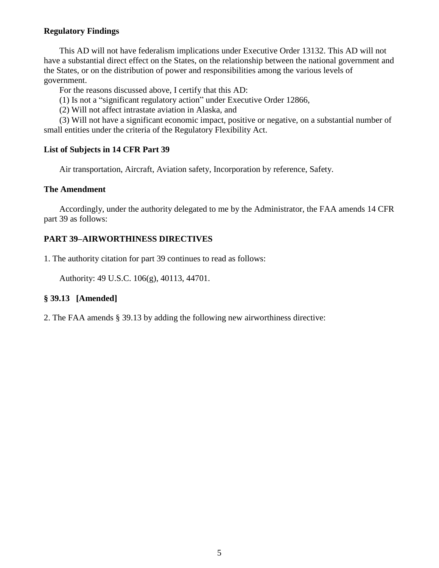# **Regulatory Findings**

This AD will not have federalism implications under Executive Order 13132. This AD will not have a substantial direct effect on the States, on the relationship between the national government and the States, or on the distribution of power and responsibilities among the various levels of government.

For the reasons discussed above, I certify that this AD:

(1) Is not a "significant regulatory action" under Executive Order 12866,

(2) Will not affect intrastate aviation in Alaska, and

(3) Will not have a significant economic impact, positive or negative, on a substantial number of small entities under the criteria of the Regulatory Flexibility Act.

# **List of Subjects in 14 CFR Part 39**

Air transportation, Aircraft, Aviation safety, Incorporation by reference, Safety.

# **The Amendment**

Accordingly, under the authority delegated to me by the Administrator, the FAA amends 14 CFR part 39 as follows:

# **PART 39–AIRWORTHINESS DIRECTIVES**

1. The authority citation for part 39 continues to read as follows:

Authority: 49 U.S.C. 106(g), 40113, 44701.

# **§ 39.13 [Amended]**

2. The FAA amends § 39.13 by adding the following new airworthiness directive: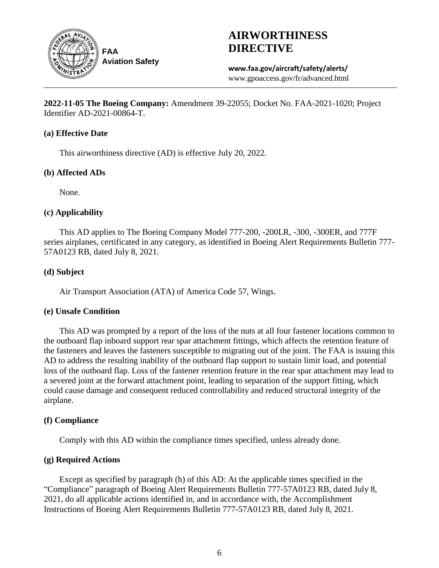

# **AIRWORTHINESS DIRECTIVE**

**www.faa.gov/aircraft/safety/alerts/** www.gpoaccess.gov/fr/advanced.html

**2022-11-05 The Boeing Company:** Amendment 39-22055; Docket No. FAA-2021-1020; Project Identifier AD-2021-00864-T.

# **(a) Effective Date**

This airworthiness directive (AD) is effective July 20, 2022.

# **(b) Affected ADs**

None.

# **(c) Applicability**

This AD applies to The Boeing Company Model 777-200, -200LR, -300, -300ER, and 777F series airplanes, certificated in any category, as identified in Boeing Alert Requirements Bulletin 777- 57A0123 RB, dated July 8, 2021.

# **(d) Subject**

Air Transport Association (ATA) of America Code 57, Wings.

# **(e) Unsafe Condition**

This AD was prompted by a report of the loss of the nuts at all four fastener locations common to the outboard flap inboard support rear spar attachment fittings, which affects the retention feature of the fasteners and leaves the fasteners susceptible to migrating out of the joint. The FAA is issuing this AD to address the resulting inability of the outboard flap support to sustain limit load, and potential loss of the outboard flap. Loss of the fastener retention feature in the rear spar attachment may lead to a severed joint at the forward attachment point, leading to separation of the support fitting, which could cause damage and consequent reduced controllability and reduced structural integrity of the airplane.

# **(f) Compliance**

Comply with this AD within the compliance times specified, unless already done.

# **(g) Required Actions**

Except as specified by paragraph (h) of this AD: At the applicable times specified in the "Compliance" paragraph of Boeing Alert Requirements Bulletin 777-57A0123 RB, dated July 8, 2021, do all applicable actions identified in, and in accordance with, the Accomplishment Instructions of Boeing Alert Requirements Bulletin 777-57A0123 RB, dated July 8, 2021.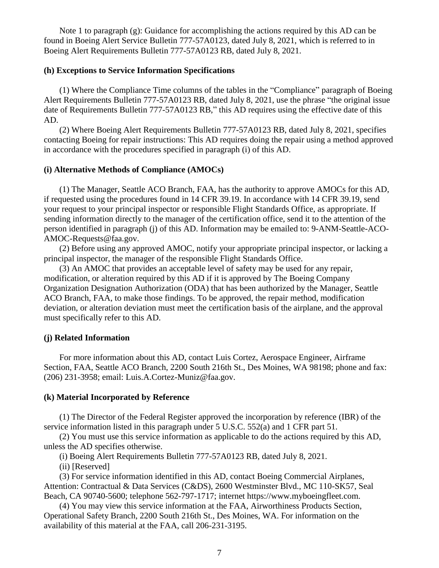Note 1 to paragraph (g): Guidance for accomplishing the actions required by this AD can be found in Boeing Alert Service Bulletin 777-57A0123, dated July 8, 2021, which is referred to in Boeing Alert Requirements Bulletin 777-57A0123 RB, dated July 8, 2021.

#### **(h) Exceptions to Service Information Specifications**

(1) Where the Compliance Time columns of the tables in the "Compliance" paragraph of Boeing Alert Requirements Bulletin 777-57A0123 RB, dated July 8, 2021, use the phrase "the original issue date of Requirements Bulletin 777-57A0123 RB," this AD requires using the effective date of this AD.

(2) Where Boeing Alert Requirements Bulletin 777-57A0123 RB, dated July 8, 2021, specifies contacting Boeing for repair instructions: This AD requires doing the repair using a method approved in accordance with the procedures specified in paragraph (i) of this AD.

#### **(i) Alternative Methods of Compliance (AMOCs)**

(1) The Manager, Seattle ACO Branch, FAA, has the authority to approve AMOCs for this AD, if requested using the procedures found in 14 CFR 39.19. In accordance with 14 CFR 39.19, send your request to your principal inspector or responsible Flight Standards Office, as appropriate. If sending information directly to the manager of the certification office, send it to the attention of the person identified in paragraph (j) of this AD. Information may be emailed to: 9-ANM-Seattle-ACO-AMOC-Requests@faa.gov.

(2) Before using any approved AMOC, notify your appropriate principal inspector, or lacking a principal inspector, the manager of the responsible Flight Standards Office.

(3) An AMOC that provides an acceptable level of safety may be used for any repair, modification, or alteration required by this AD if it is approved by The Boeing Company Organization Designation Authorization (ODA) that has been authorized by the Manager, Seattle ACO Branch, FAA, to make those findings. To be approved, the repair method, modification deviation, or alteration deviation must meet the certification basis of the airplane, and the approval must specifically refer to this AD.

#### **(j) Related Information**

For more information about this AD, contact Luis Cortez, Aerospace Engineer, Airframe Section, FAA, Seattle ACO Branch, 2200 South 216th St., Des Moines, WA 98198; phone and fax: (206) 231-3958; email: Luis.A.Cortez-Muniz@faa.gov.

#### **(k) Material Incorporated by Reference**

(1) The Director of the Federal Register approved the incorporation by reference (IBR) of the service information listed in this paragraph under 5 U.S.C. 552(a) and 1 CFR part 51.

(2) You must use this service information as applicable to do the actions required by this AD, unless the AD specifies otherwise.

(i) Boeing Alert Requirements Bulletin 777-57A0123 RB, dated July 8, 2021.

(ii) [Reserved]

(3) For service information identified in this AD, contact Boeing Commercial Airplanes, Attention: Contractual & Data Services (C&DS), 2600 Westminster Blvd., MC 110-SK57, Seal Beach, CA 90740-5600; telephone 562-797-1717; internet https://www.myboeingfleet.com.

(4) You may view this service information at the FAA, Airworthiness Products Section, Operational Safety Branch, 2200 South 216th St., Des Moines, WA. For information on the availability of this material at the FAA, call 206-231-3195.